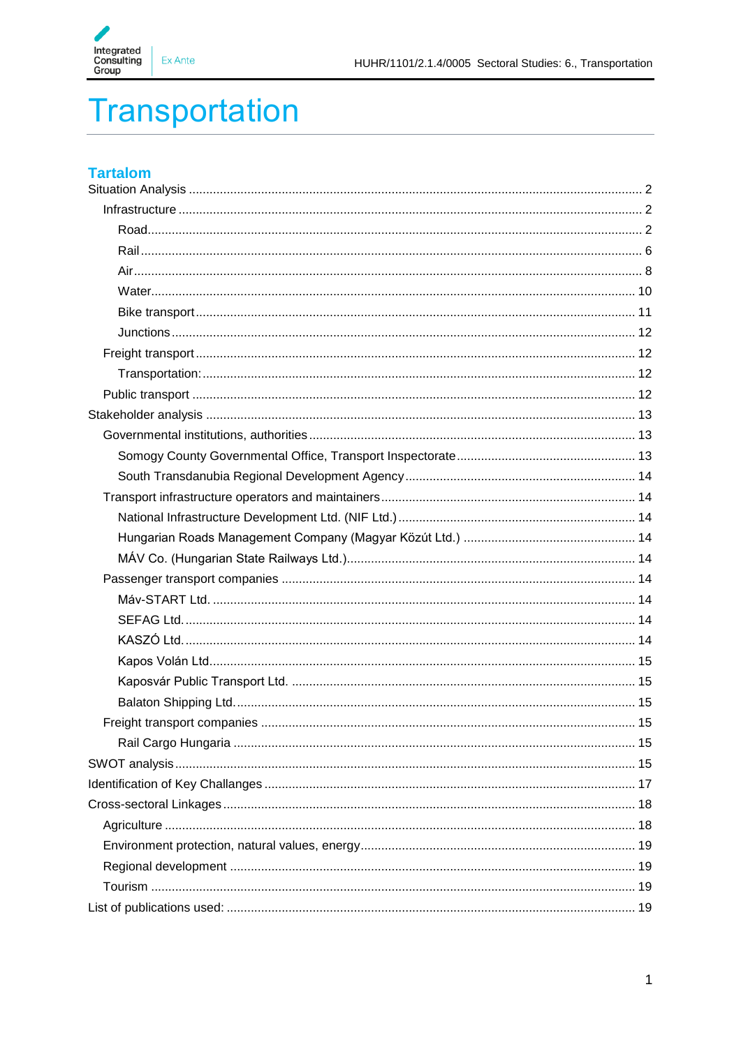

# **Transportation**

# **Tartalom**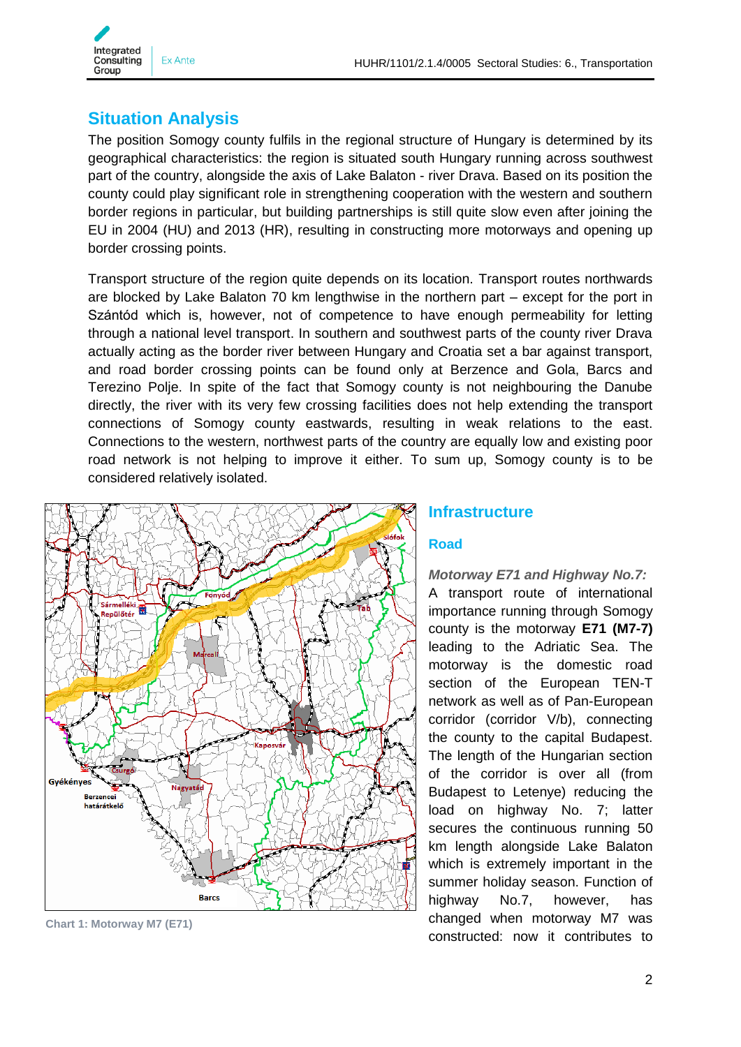

# <span id="page-1-0"></span>**Situation Analysis**

The position Somogy county fulfils in the regional structure of Hungary is determined by its geographical characteristics: the region is situated south Hungary running across southwest part of the country, alongside the axis of Lake Balaton - river Drava. Based on its position the county could play significant role in strengthening cooperation with the western and southern border regions in particular, but building partnerships is still quite slow even after joining the EU in 2004 (HU) and 2013 (HR), resulting in constructing more motorways and opening up border crossing points.

Transport structure of the region quite depends on its location. Transport routes northwards are blocked by Lake Balaton 70 km lengthwise in the northern part – except for the port in Szántód which is, however, not of competence to have enough permeability for letting through a national level transport. In southern and southwest parts of the county river Drava actually acting as the border river between Hungary and Croatia set a bar against transport, and road border crossing points can be found only at Berzence and Gola, Barcs and Terezino Polje. In spite of the fact that Somogy county is not neighbouring the Danube directly, the river with its very few crossing facilities does not help extending the transport connections of Somogy county eastwards, resulting in weak relations to the east. Connections to the western, northwest parts of the country are equally low and existing poor road network is not helping to improve it either. To sum up, Somogy county is to be considered relatively isolated.



**Chart 1: Motorway M7 (E71)**

#### <span id="page-1-1"></span>**Infrastructure**

#### <span id="page-1-2"></span>**Road**

*Motorway E71 and Highway No.7:* A transport route of international importance running through Somogy county is the motorway **E71 (M7-7)** leading to the Adriatic Sea. The motorway is the domestic road section of the European TEN-T network as well as of Pan-European corridor (corridor V/b), connecting the county to the capital Budapest. The length of the Hungarian section of the corridor is over all (from Budapest to Letenye) reducing the load on highway No. 7; latter secures the continuous running 50 km length alongside Lake Balaton which is extremely important in the summer holiday season. Function of highway No.7, however, has changed when motorway M7 was constructed: now it contributes to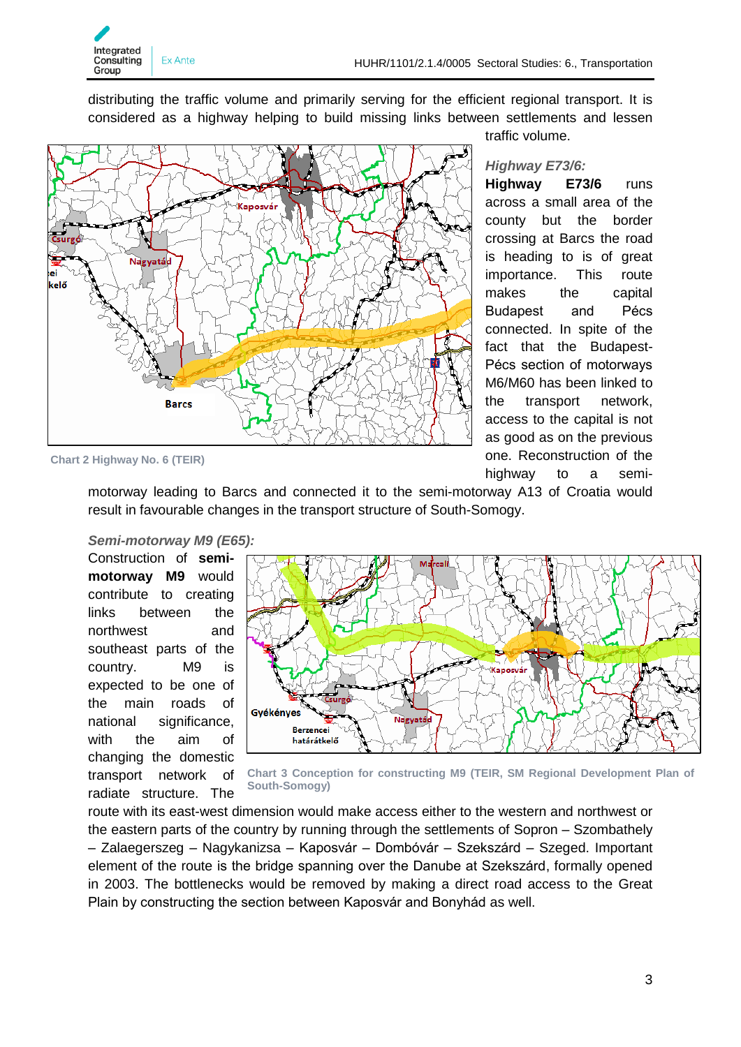

distributing the traffic volume and primarily serving for the efficient regional transport. It is considered as a highway helping to build missing links between settlements and lessen



traffic volume.

#### *Highway E73/6:*

**Highway E73/6** runs across a small area of the county but the border crossing at Barcs the road is heading to is of great importance. This route makes the capital Budapest and Pécs connected. In spite of the fact that the Budapest-Pécs section of motorways M6/M60 has been linked to the transport network, access to the capital is not as good as on the previous one. Reconstruction of the highway to a semi-

**Chart 2 Highway No. 6 (TEIR)**

motorway leading to Barcs and connected it to the semi-motorway A13 of Croatia would result in favourable changes in the transport structure of South-Somogy.

#### *Semi-motorway M9 (E65):*

Construction of **semimotorway M9** would contribute to creating links between the northwest and southeast parts of the country. M9 is expected to be one of the main roads of national significance, with the aim of changing the domestic transport network of radiate structure. The



**Chart 3 Conception for constructing M9 (TEIR, SM Regional Development Plan of South-Somogy)**

route with its east-west dimension would make access either to the western and northwest or the eastern parts of the country by running through the settlements of Sopron – Szombathely – Zalaegerszeg – Nagykanizsa – Kaposvár – Dombóvár – Szekszárd – Szeged. Important element of the route is the bridge spanning over the Danube at Szekszárd, formally opened in 2003. The bottlenecks would be removed by making a direct road access to the Great Plain by constructing the section between Kaposvár and Bonyhád as well.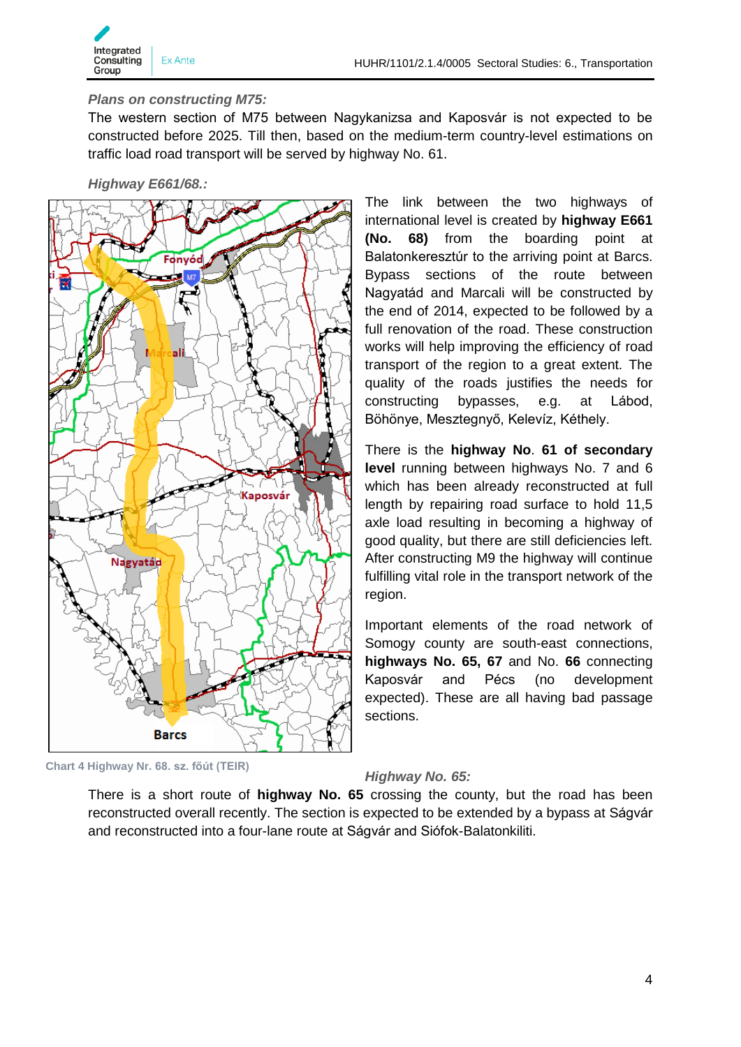

#### *Plans on constructing M75:*

The western section of M75 between Nagykanizsa and Kaposvár is not expected to be constructed before 2025. Till then, based on the medium-term country-level estimations on traffic load road transport will be served by highway No. 61.

*Highway E661/68.:*



The link between the two highways of international level is created by **highway E661 (No. 68)** from the boarding point at Balatonkeresztúr to the arriving point at Barcs. Bypass sections of the route between Nagyatád and Marcali will be constructed by the end of 2014, expected to be followed by a full renovation of the road. These construction works will help improving the efficiency of road transport of the region to a great extent. The quality of the roads justifies the needs for constructing bypasses, e.g. at Lábod, Böhönye, Mesztegnyő, Kelevíz, Kéthely.

There is the **highway No**. **61 of secondary level** running between highways No. 7 and 6 which has been already reconstructed at full length by repairing road surface to hold 11,5 axle load resulting in becoming a highway of good quality, but there are still deficiencies left. After constructing M9 the highway will continue fulfilling vital role in the transport network of the region.

Important elements of the road network of Somogy county are south-east connections, **highways No. 65, 67** and No. **66** connecting Kaposvár and Pécs (no development expected). These are all having bad passage sections.

**Chart 4 Highway Nr. 68. sz. főút (TEIR)**

#### *Highway No. 65:*

There is a short route of **highway No. 65** crossing the county, but the road has been reconstructed overall recently. The section is expected to be extended by a bypass at Ságvár and reconstructed into a four-lane route at Ságvár and Siófok-Balatonkiliti.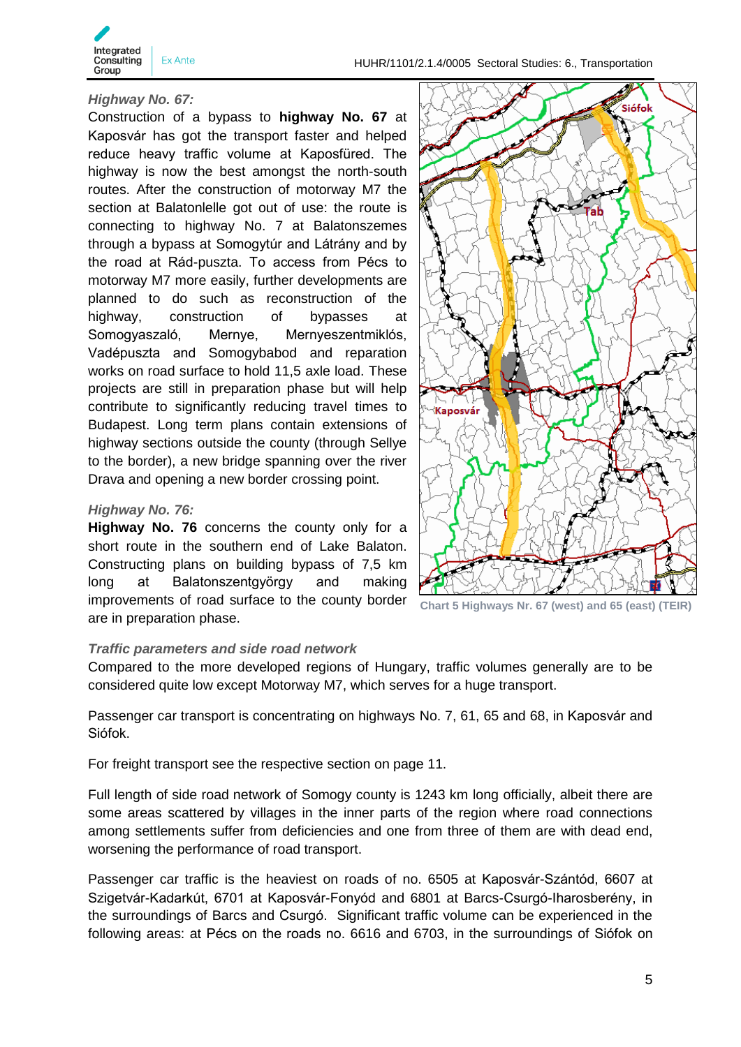

#### *Highway No. 67:*

Construction of a bypass to **highway No. 67** at Kaposvár has got the transport faster and helped reduce heavy traffic volume at Kaposfüred. The highway is now the best amongst the north-south routes. After the construction of motorway M7 the section at Balatonlelle got out of use: the route is connecting to highway No. 7 at Balatonszemes through a bypass at Somogytúr and Látrány and by the road at Rád-puszta. To access from Pécs to motorway M7 more easily, further developments are planned to do such as reconstruction of the highway, construction of bypasses at Somogyaszaló, Mernye, Mernyeszentmiklós, Vadépuszta and Somogybabod and reparation works on road surface to hold 11,5 axle load. These projects are still in preparation phase but will help contribute to significantly reducing travel times to Budapest. Long term plans contain extensions of highway sections outside the county (through Sellye to the border), a new bridge spanning over the river Drava and opening a new border crossing point.

#### *Highway No. 76:*

**Highway No. 76** concerns the county only for a short route in the southern end of Lake Balaton. Constructing plans on building bypass of 7,5 km long at Balatonszentgyörgy and making improvements of road surface to the county border are in preparation phase.



**Chart 5 Highways Nr. 67 (west) and 65 (east) (TEIR)**

#### *Traffic parameters and side road network*

Compared to the more developed regions of Hungary, traffic volumes generally are to be considered quite low except Motorway M7, which serves for a huge transport.

Passenger car transport is concentrating on highways No. 7, 61, 65 and 68, in Kaposvár and Siófok.

For freight transport see the respective section on page 11.

Full length of side road network of Somogy county is 1243 km long officially, albeit there are some areas scattered by villages in the inner parts of the region where road connections among settlements suffer from deficiencies and one from three of them are with dead end, worsening the performance of road transport.

Passenger car traffic is the heaviest on roads of no. 6505 at Kaposvár-Szántód, 6607 at Szigetvár-Kadarkút, 6701 at Kaposvár-Fonyód and 6801 at Barcs-Csurgó-Iharosberény, in the surroundings of Barcs and Csurgó. Significant traffic volume can be experienced in the following areas: at Pécs on the roads no. 6616 and 6703, in the surroundings of Siófok on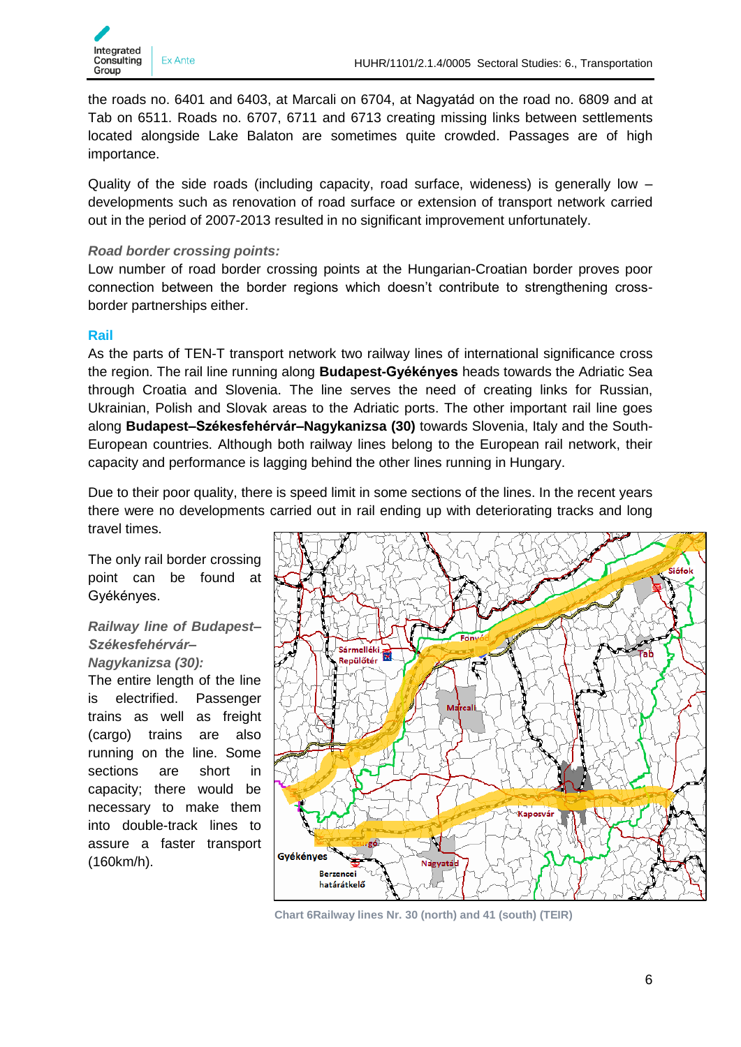

the roads no. 6401 and 6403, at Marcali on 6704, at Nagyatád on the road no. 6809 and at Tab on 6511. Roads no. 6707, 6711 and 6713 creating missing links between settlements located alongside Lake Balaton are sometimes quite crowded. Passages are of high importance.

Quality of the side roads (including capacity, road surface, wideness) is generally low – developments such as renovation of road surface or extension of transport network carried out in the period of 2007-2013 resulted in no significant improvement unfortunately.

#### *Road border crossing points:*

Low number of road border crossing points at the Hungarian-Croatian border proves poor connection between the border regions which doesn't contribute to strengthening crossborder partnerships either.

#### <span id="page-5-0"></span>**Rail**

As the parts of TEN-T transport network two railway lines of international significance cross the region. The rail line running along **Budapest-Gyékényes** heads towards the Adriatic Sea through Croatia and Slovenia. The line serves the need of creating links for Russian, Ukrainian, Polish and Slovak areas to the Adriatic ports. The other important rail line goes along **Budapest–Székesfehérvár–Nagykanizsa (30)** towards Slovenia, Italy and the South-European countries. Although both railway lines belong to the European rail network, their capacity and performance is lagging behind the other lines running in Hungary.

Due to their poor quality, there is speed limit in some sections of the lines. In the recent years there were no developments carried out in rail ending up with deteriorating tracks and long travel times.

The only rail border crossing point can be found at Gyékényes.

#### *Railway line of Budapest– Székesfehérvár– Nagykanizsa (30):*

The entire length of the line is electrified. Passenger trains as well as freight (cargo) trains are also running on the line. Some sections are short in capacity; there would be necessary to make them into double-track lines to assure a faster transport (160km/h).



**Chart 6Railway lines Nr. 30 (north) and 41 (south) (TEIR)**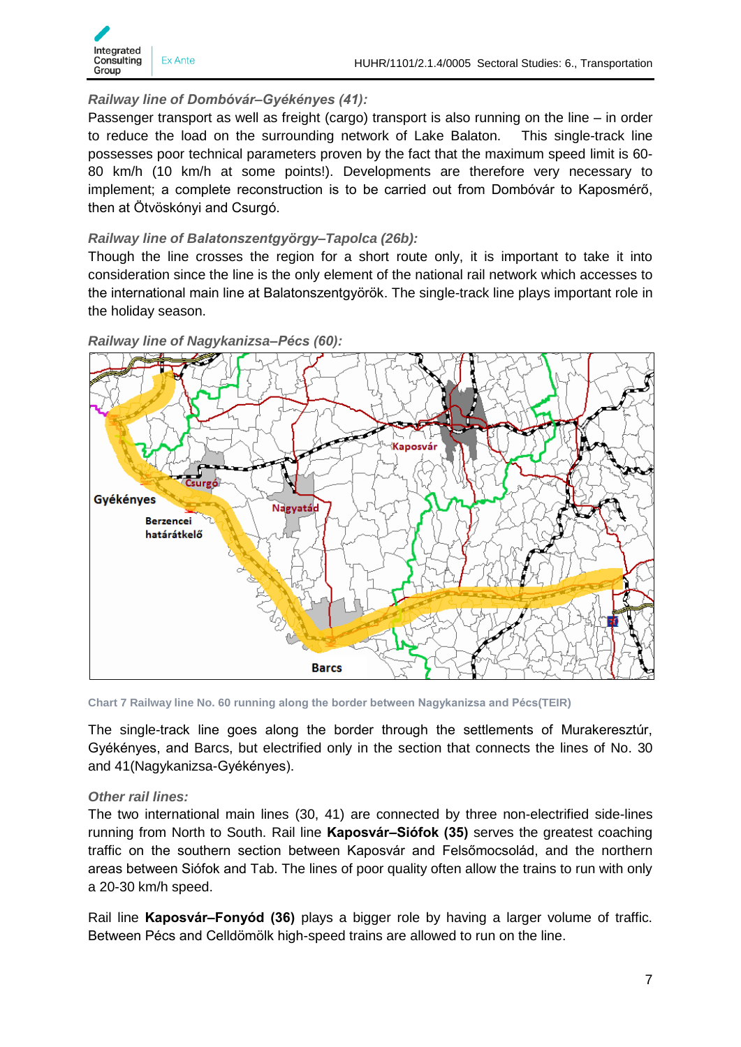

#### *Railway line of Dombóvár–Gyékényes (41):*

Passenger transport as well as freight (cargo) transport is also running on the line – in order to reduce the load on the surrounding network of Lake Balaton. This single-track line possesses poor technical parameters proven by the fact that the maximum speed limit is 60- 80 km/h (10 km/h at some points!). Developments are therefore very necessary to implement; a complete reconstruction is to be carried out from Dombóvár to Kaposmérő, then at Ötvöskónyi and Csurgó.

#### *Railway line of Balatonszentgyörgy–Tapolca (26b):*

Though the line crosses the region for a short route only, it is important to take it into consideration since the line is the only element of the national rail network which accesses to the international main line at Balatonszentgyörök. The single-track line plays important role in the holiday season.



*Railway line of Nagykanizsa–Pécs (60):*

**Chart 7 Railway line No. 60 running along the border between Nagykanizsa and Pécs(TEIR)**

The single-track line goes along the border through the settlements of Murakeresztúr, Gyékényes, and Barcs, but electrified only in the section that connects the lines of No. 30 and 41(Nagykanizsa-Gyékényes).

#### *Other rail lines:*

The two international main lines (30, 41) are connected by three non-electrified side-lines running from North to South. Rail line **Kaposvár–Siófok (35)** serves the greatest coaching traffic on the southern section between Kaposvár and Felsőmocsolád, and the northern areas between Siófok and Tab. The lines of poor quality often allow the trains to run with only a 20-30 km/h speed.

Rail line **Kaposvár–Fonyód (36)** plays a bigger role by having a larger volume of traffic. Between Pécs and Celldömölk high-speed trains are allowed to run on the line.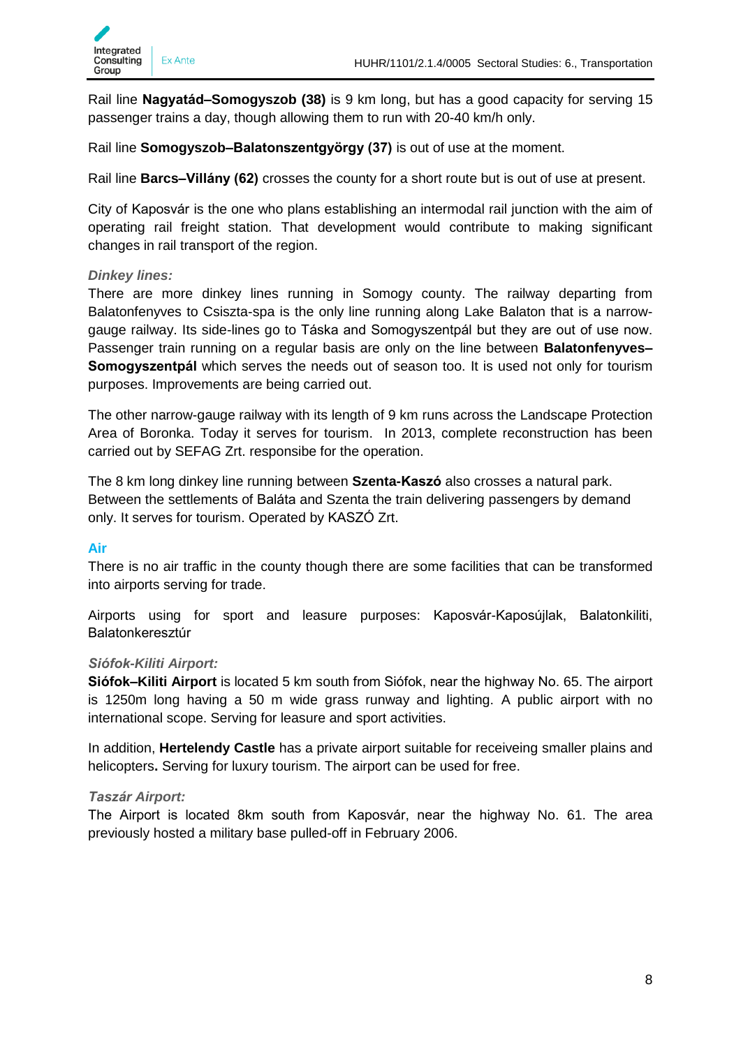

Rail line **Nagyatád–Somogyszob (38)** is 9 km long, but has a good capacity for serving 15 passenger trains a day, though allowing them to run with 20-40 km/h only.

Rail line **Somogyszob–Balatonszentgyörgy (37)** is out of use at the moment.

Rail line **Barcs–Villány (62)** crosses the county for a short route but is out of use at present.

City of Kaposvár is the one who plans establishing an intermodal rail junction with the aim of operating rail freight station. That development would contribute to making significant changes in rail transport of the region.

#### *Dinkey lines:*

There are more dinkey lines running in Somogy county. The railway departing from Balatonfenyves to Csiszta-spa is the only line running along Lake Balaton that is a narrowgauge railway. Its side-lines go to Táska and Somogyszentpál but they are out of use now. Passenger train running on a regular basis are only on the line between **Balatonfenyves– Somogyszentpál** which serves the needs out of season too. It is used not only for tourism purposes. Improvements are being carried out.

The other narrow-gauge railway with its length of 9 km runs across the Landscape Protection Area of Boronka. Today it serves for tourism. In 2013, complete reconstruction has been carried out by SEFAG Zrt. responsibe for the operation.

The 8 km long dinkey line running between **Szenta-Kaszó** also crosses a natural park. Between the settlements of Baláta and Szenta the train delivering passengers by demand only. It serves for tourism. Operated by KASZÓ Zrt.

## <span id="page-7-0"></span>**Air**

There is no air traffic in the county though there are some facilities that can be transformed into airports serving for trade.

Airports using for sport and leasure purposes: Kaposvár-Kaposújlak, Balatonkiliti, Balatonkeresztúr

#### *Siófok-Kiliti Airport:*

**Siófok–Kiliti Airport** is located 5 km south from Siófok, near the highway No. 65. The airport is 1250m long having a 50 m wide grass runway and lighting. A public airport with no international scope. Serving for leasure and sport activities.

In addition, **Hertelendy Castle** has a private airport suitable for receiveing smaller plains and helicopters**.** Serving for luxury tourism. The airport can be used for free.

#### *Taszár Airport:*

The Airport is located 8km south from Kaposvár, near the highway No. 61. The area previously hosted a military base pulled-off in February 2006.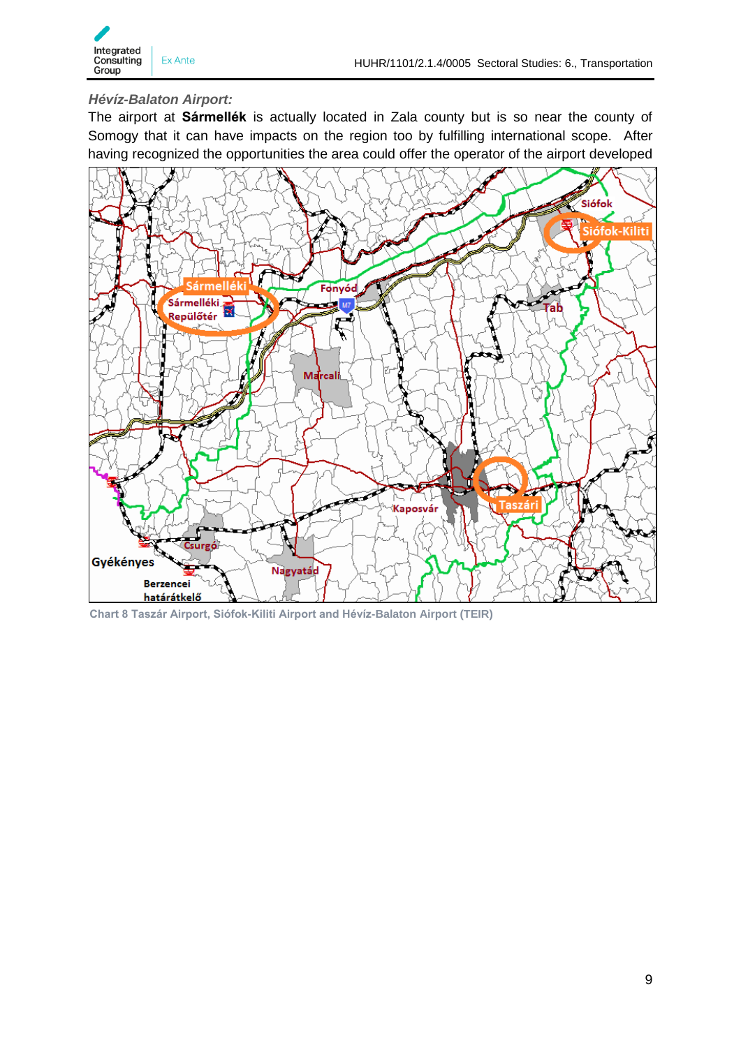#### *Hévíz-Balaton Airport:*

The airport at **Sármellék** is actually located in Zala county but is so near the county of Somogy that it can have impacts on the region too by fulfilling international scope. After having recognized the opportunities the area could offer the operator of the airport developed



**Chart 8 Taszár Airport, Siófok-Kiliti Airport and Hévíz-Balaton Airport (TEIR)**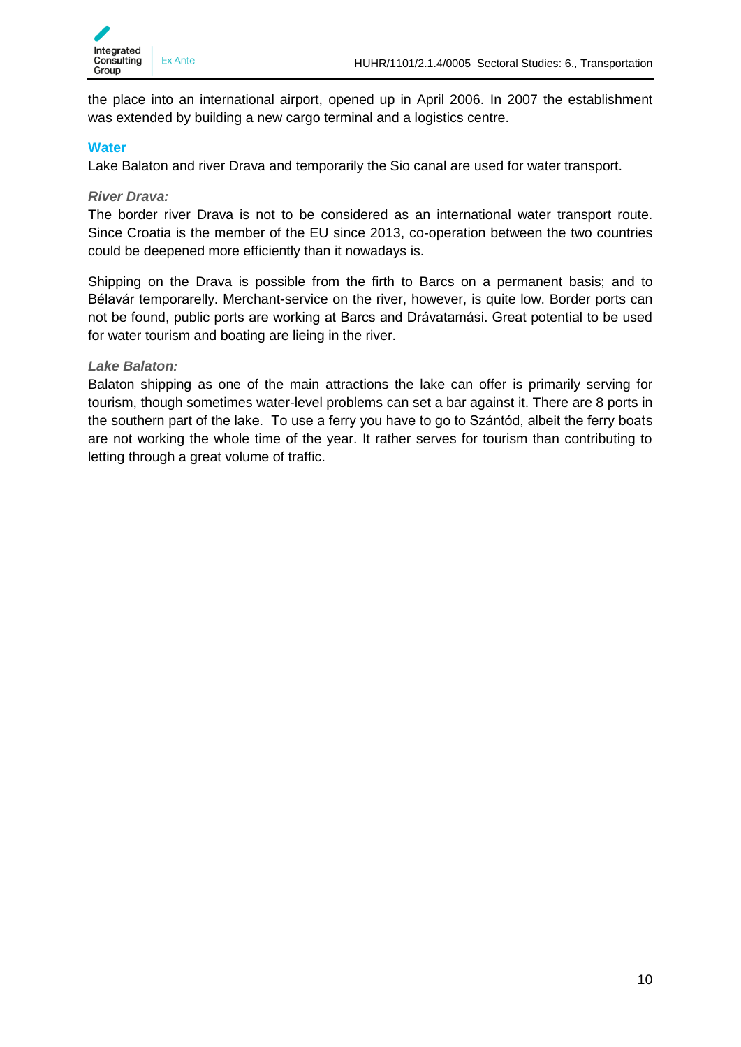

the place into an international airport, opened up in April 2006. In 2007 the establishment was extended by building a new cargo terminal and a logistics centre.

#### <span id="page-9-0"></span>**Water**

Lake Balaton and river Drava and temporarily the Sio canal are used for water transport.

#### *River Drava:*

The border river Drava is not to be considered as an international water transport route. Since Croatia is the member of the EU since 2013, co-operation between the two countries could be deepened more efficiently than it nowadays is.

Shipping on the Drava is possible from the firth to Barcs on a permanent basis; and to Bélavár temporarelly. Merchant-service on the river, however, is quite low. Border ports can not be found, public ports are working at Barcs and Drávatamási. Great potential to be used for water tourism and boating are lieing in the river.

#### *Lake Balaton:*

Balaton shipping as one of the main attractions the lake can offer is primarily serving for tourism, though sometimes water-level problems can set a bar against it. There are 8 ports in the southern part of the lake. To use a ferry you have to go to Szántód, albeit the ferry boats are not working the whole time of the year. It rather serves for tourism than contributing to letting through a great volume of traffic.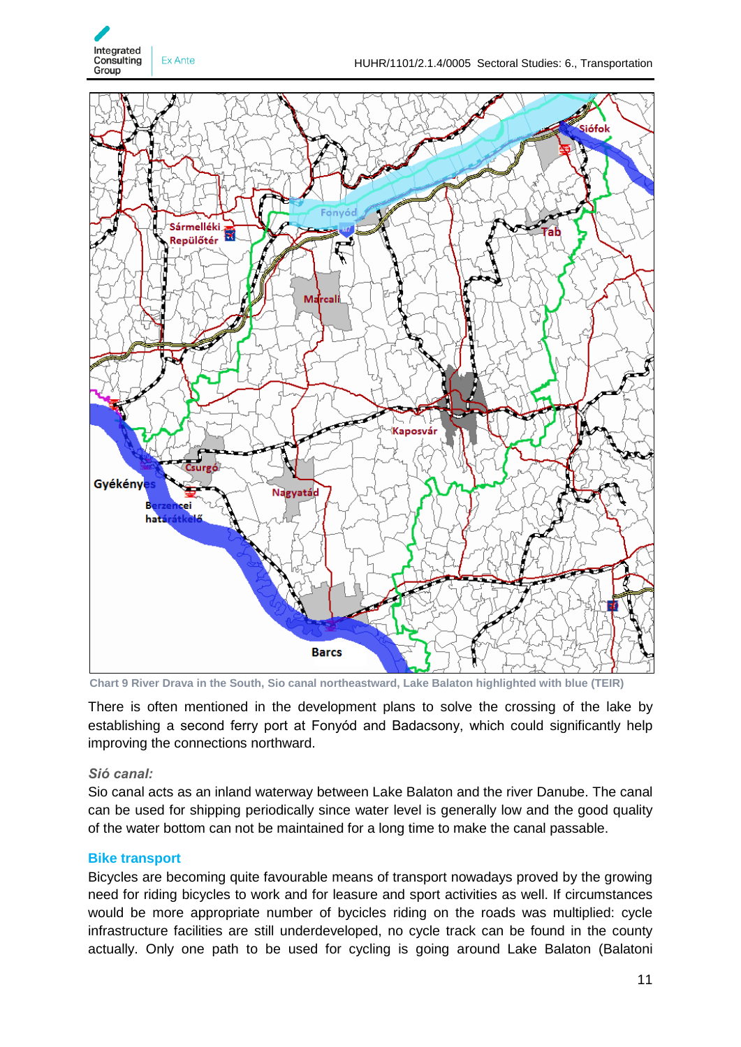



**Chart 9 River Drava in the South, Sio canal northeastward, Lake Balaton highlighted with blue (TEIR)**

There is often mentioned in the development plans to solve the crossing of the lake by establishing a second ferry port at Fonyód and Badacsony, which could significantly help improving the connections northward.

#### *Sió canal:*

Sio canal acts as an inland waterway between Lake Balaton and the river Danube. The canal can be used for shipping periodically since water level is generally low and the good quality of the water bottom can not be maintained for a long time to make the canal passable.

#### <span id="page-10-0"></span>**Bike transport**

Bicycles are becoming quite favourable means of transport nowadays proved by the growing need for riding bicycles to work and for leasure and sport activities as well. If circumstances would be more appropriate number of bycicles riding on the roads was multiplied: cycle infrastructure facilities are still underdeveloped, no cycle track can be found in the county actually. Only one path to be used for cycling is going around Lake Balaton (Balatoni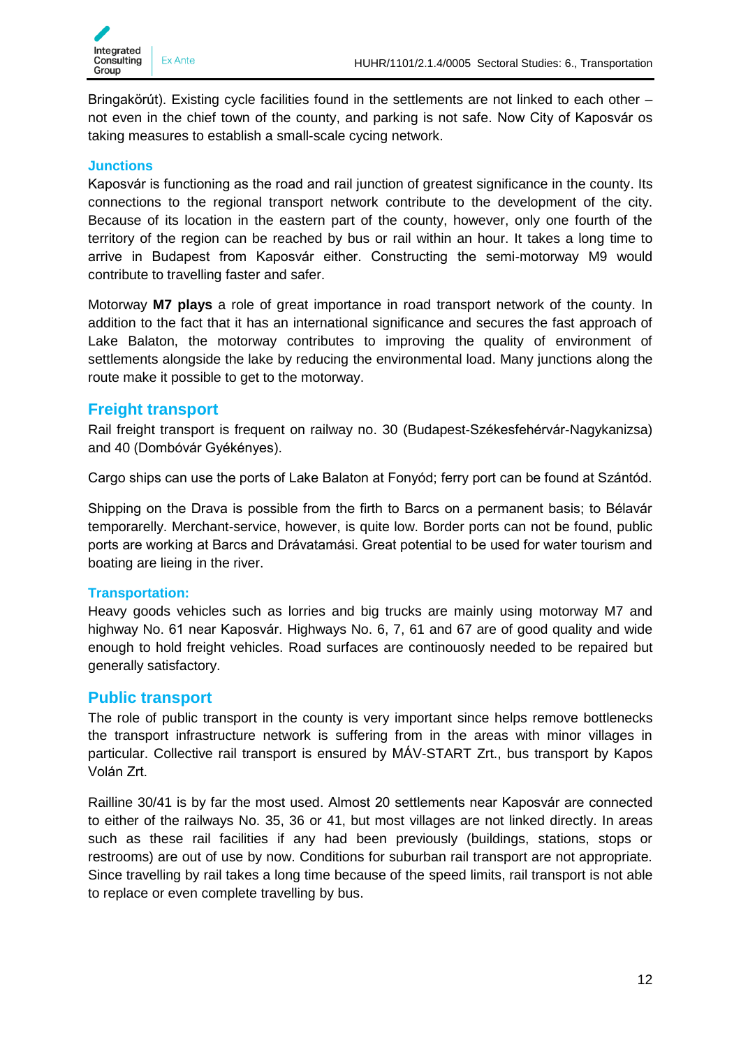

Bringakörút). Existing cycle facilities found in the settlements are not linked to each other – not even in the chief town of the county, and parking is not safe. Now City of Kaposvár os taking measures to establish a small-scale cycing network.

#### <span id="page-11-0"></span>**Junctions**

Kaposvár is functioning as the road and rail junction of greatest significance in the county. Its connections to the regional transport network contribute to the development of the city. Because of its location in the eastern part of the county, however, only one fourth of the territory of the region can be reached by bus or rail within an hour. It takes a long time to arrive in Budapest from Kaposvár either. Constructing the semi-motorway M9 would contribute to travelling faster and safer.

Motorway **M7 plays** a role of great importance in road transport network of the county. In addition to the fact that it has an international significance and secures the fast approach of Lake Balaton, the motorway contributes to improving the quality of environment of settlements alongside the lake by reducing the environmental load. Many junctions along the route make it possible to get to the motorway.

#### <span id="page-11-1"></span>**Freight transport**

Rail freight transport is frequent on railway no. 30 (Budapest-Székesfehérvár-Nagykanizsa) and 40 (Dombóvár Gyékényes).

Cargo ships can use the ports of Lake Balaton at Fonyód; ferry port can be found at Szántód.

Shipping on the Drava is possible from the firth to Barcs on a permanent basis; to Bélavár temporarelly. Merchant-service, however, is quite low. Border ports can not be found, public ports are working at Barcs and Drávatamási. Great potential to be used for water tourism and boating are lieing in the river.

#### <span id="page-11-2"></span>**Transportation:**

Heavy goods vehicles such as lorries and big trucks are mainly using motorway M7 and highway No. 61 near Kaposvár. Highways No. 6, 7, 61 and 67 are of good quality and wide enough to hold freight vehicles. Road surfaces are continouosly needed to be repaired but generally satisfactory.

#### <span id="page-11-3"></span>**Public transport**

The role of public transport in the county is very important since helps remove bottlenecks the transport infrastructure network is suffering from in the areas with minor villages in particular. Collective rail transport is ensured by MÁV-START Zrt., bus transport by Kapos Volán Zrt.

Railline 30/41 is by far the most used. Almost 20 settlements near Kaposvár are connected to either of the railways No. 35, 36 or 41, but most villages are not linked directly. In areas such as these rail facilities if any had been previously (buildings, stations, stops or restrooms) are out of use by now. Conditions for suburban rail transport are not appropriate. Since travelling by rail takes a long time because of the speed limits, rail transport is not able to replace or even complete travelling by bus.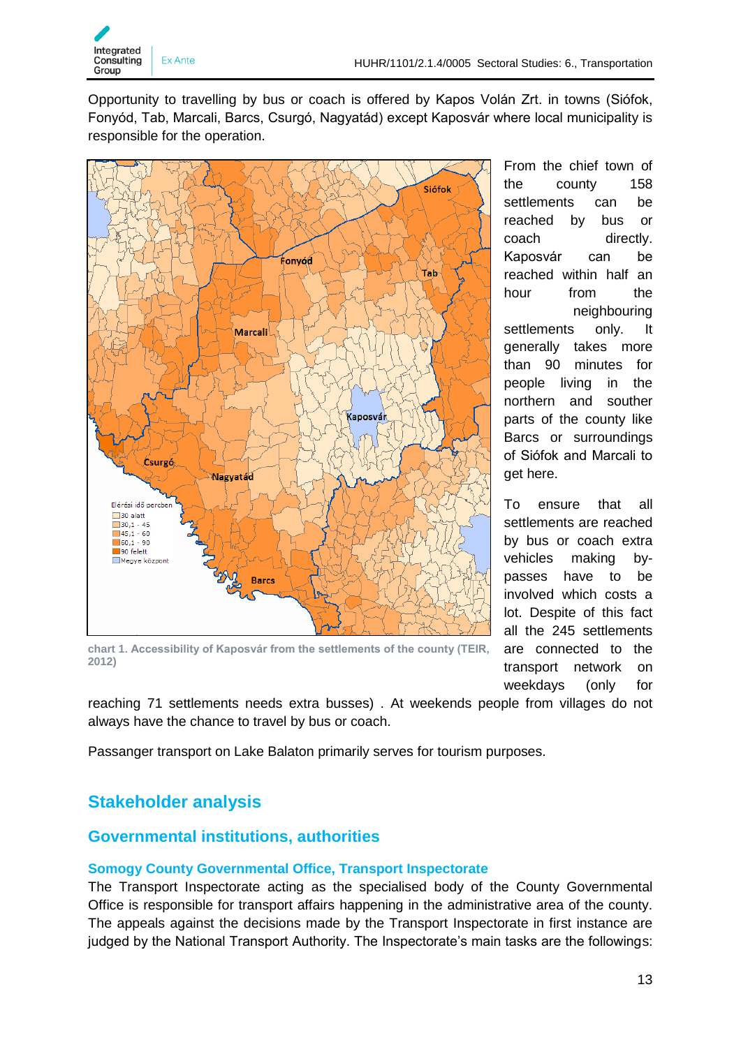

Opportunity to travelling by bus or coach is offered by Kapos Volán Zrt. in towns (Siófok, Fonyód, Tab, Marcali, Barcs, Csurgó, Nagyatád) except Kaposvár where local municipality is responsible for the operation.



**chart 1. Accessibility of Kaposvár from the settlements of the county (TEIR, 2012)**

From the chief town of the county 158 settlements can be reached by bus or coach directly. Kaposvár can be reached within half an hour from the neighbouring settlements only. It generally takes more than 90 minutes for people living in the northern and souther parts of the county like Barcs or surroundings of Siófok and Marcali to get here.

To ensure that all settlements are reached by bus or coach extra vehicles making bypasses have to be involved which costs a lot. Despite of this fact all the 245 settlements are connected to the transport network on weekdays (only for

reaching 71 settlements needs extra busses) . At weekends people from villages do not always have the chance to travel by bus or coach.

Passanger transport on Lake Balaton primarily serves for tourism purposes.

# <span id="page-12-0"></span>**Stakeholder analysis**

# <span id="page-12-1"></span>**Governmental institutions, authorities**

## <span id="page-12-2"></span>**Somogy County Governmental Office, Transport Inspectorate**

The Transport Inspectorate acting as the specialised body of the County Governmental Office is responsible for transport affairs happening in the administrative area of the county. The appeals against the decisions made by the Transport Inspectorate in first instance are judged by the National Transport Authority. The Inspectorate's main tasks are the followings: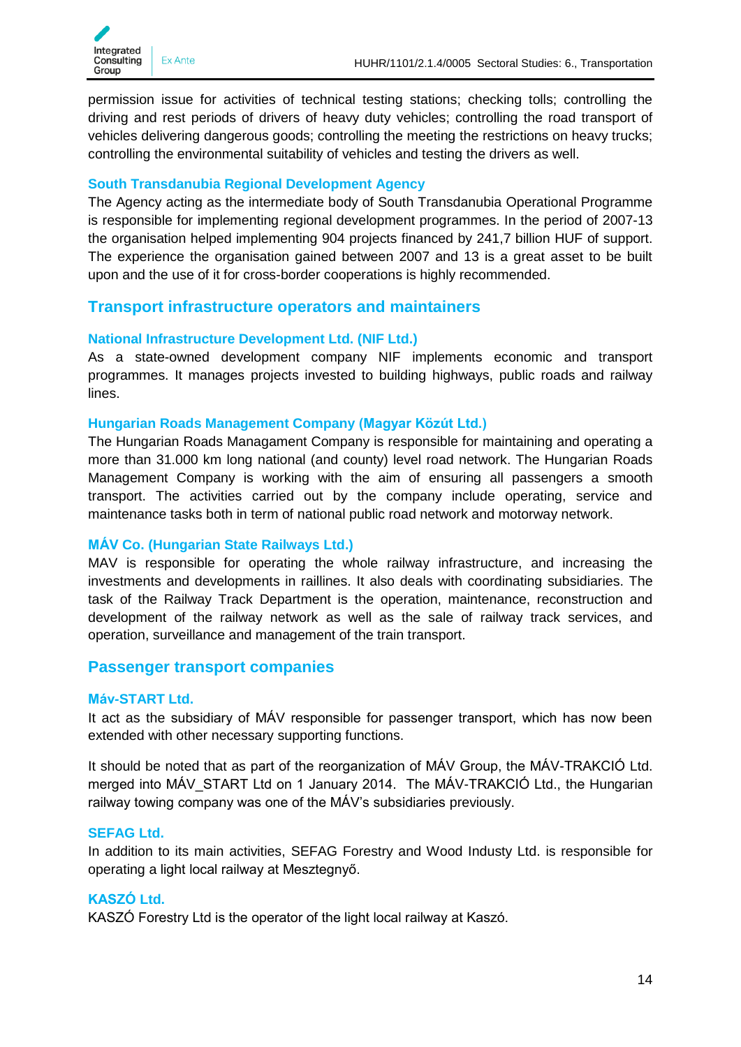permission issue for activities of technical testing stations; checking tolls; controlling the driving and rest periods of drivers of heavy duty vehicles; controlling the road transport of vehicles delivering dangerous goods; controlling the meeting the restrictions on heavy trucks; controlling the environmental suitability of vehicles and testing the drivers as well.

#### <span id="page-13-0"></span>**South Transdanubia Regional Development Agency**

The Agency acting as the intermediate body of South Transdanubia Operational Programme is responsible for implementing regional development programmes. In the period of 2007-13 the organisation helped implementing 904 projects financed by 241,7 billion HUF of support. The experience the organisation gained between 2007 and 13 is a great asset to be built upon and the use of it for cross-border cooperations is highly recommended.

#### <span id="page-13-1"></span>**Transport infrastructure operators and maintainers**

#### <span id="page-13-2"></span>**National Infrastructure Development Ltd. (NIF Ltd.)**

As a state-owned development company NIF implements economic and transport programmes. It manages projects invested to building highways, public roads and railway lines.

#### <span id="page-13-3"></span>**Hungarian Roads Management Company (Magyar Közút Ltd.)**

The Hungarian Roads Managament Company is responsible for maintaining and operating a more than 31.000 km long national (and county) level road network. The Hungarian Roads Management Company is working with the aim of ensuring all passengers a smooth transport. The activities carried out by the company include operating, service and maintenance tasks both in term of national public road network and motorway network.

#### <span id="page-13-4"></span>**MÁV Co. (Hungarian State Railways Ltd.)**

MAV is responsible for operating the whole railway infrastructure, and increasing the investments and developments in raillines. It also deals with coordinating subsidiaries. The task of the Railway Track Department is the operation, maintenance, reconstruction and development of the railway network as well as the sale of railway track services, and operation, surveillance and management of the train transport.

#### <span id="page-13-5"></span>**Passenger transport companies**

#### <span id="page-13-6"></span>**Máv-START Ltd.**

It act as the subsidiary of MÁV responsible for passenger transport, which has now been extended with other necessary supporting functions.

It should be noted that as part of the reorganization of MÁV Group, the MÁV-TRAKCIÓ Ltd. merged into MÁV START Ltd on 1 January 2014. The MÁV-TRAKCIÓ Ltd., the Hungarian railway towing company was one of the MÁV's subsidiaries previously.

#### <span id="page-13-7"></span>**SEFAG Ltd.**

In addition to its main activities, SEFAG Forestry and Wood Industy Ltd. is responsible for operating a light local railway at Mesztegnyő.

#### <span id="page-13-8"></span>**KASZÓ Ltd.**

KASZÓ Forestry Ltd is the operator of the light local railway at Kaszó.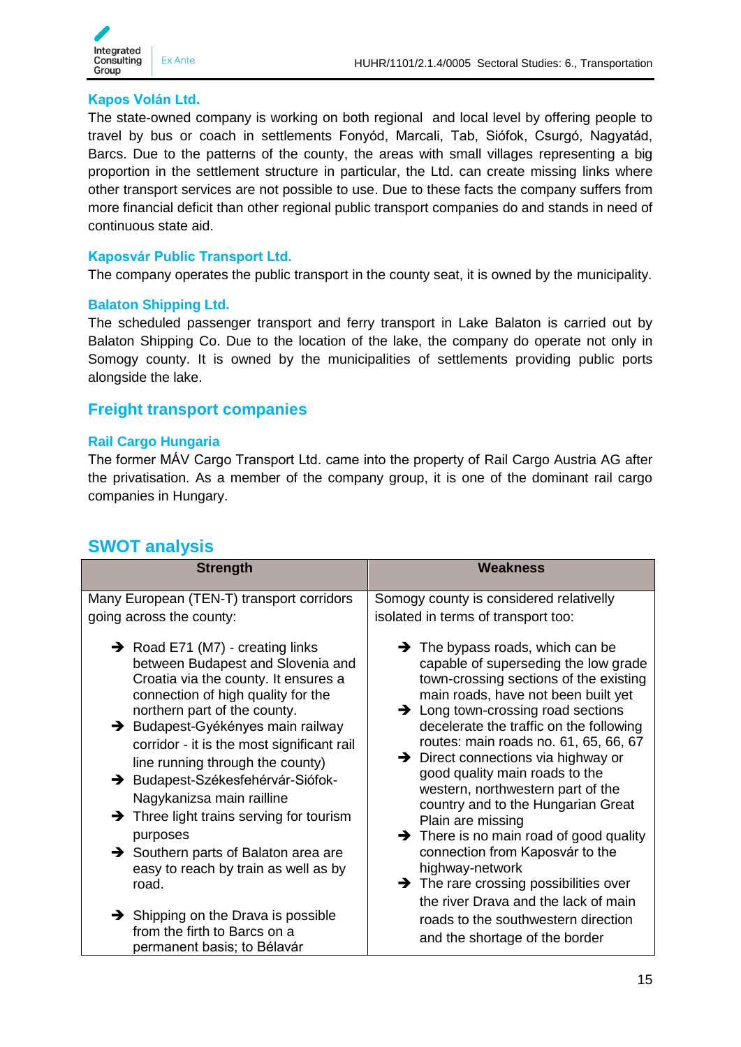

#### <span id="page-14-0"></span>**Kapos Volán Ltd.**

The state-owned company is working on both regional and local level by offering people to travel by bus or coach in settlements Fonyód, Marcali, Tab, Siófok, Csurgó, Nagyatád, Barcs. Due to the patterns of the county, the areas with small villages representing a big proportion in the settlement structure in particular, the Ltd. can create missing links where other transport services are not possible to use. Due to these facts the company suffers from more financial deficit than other regional public transport companies do and stands in need of continuous state aid.

#### <span id="page-14-1"></span>**Kaposvár Public Transport Ltd.**

The company operates the public transport in the county seat, it is owned by the municipality.

#### <span id="page-14-2"></span>**Balaton Shipping Ltd.**

The scheduled passenger transport and ferry transport in Lake Balaton is carried out by Balaton Shipping Co. Due to the location of the lake, the company do operate not only in Somogy county. It is owned by the municipalities of settlements providing public ports alongside the lake.

#### <span id="page-14-3"></span>**Freight transport companies**

#### <span id="page-14-4"></span>**Rail Cargo Hungaria**

The former MÁV Cargo Transport Ltd. came into the property of Rail Cargo Austria AG after the privatisation. As a member of the company group, it is one of the dominant rail cargo companies in Hungary.

# <span id="page-14-5"></span>**SWOT analysis**

| <b>Strength</b>                                                                                                                                                                                                                                                                                                                                                                                                                                                                                                                                                   | <b>Weakness</b>                                                                                                                                                                                                                                                                                                                                                                                                                                                                                                                                                                                                                                                                                             |
|-------------------------------------------------------------------------------------------------------------------------------------------------------------------------------------------------------------------------------------------------------------------------------------------------------------------------------------------------------------------------------------------------------------------------------------------------------------------------------------------------------------------------------------------------------------------|-------------------------------------------------------------------------------------------------------------------------------------------------------------------------------------------------------------------------------------------------------------------------------------------------------------------------------------------------------------------------------------------------------------------------------------------------------------------------------------------------------------------------------------------------------------------------------------------------------------------------------------------------------------------------------------------------------------|
| Many European (TEN-T) transport corridors<br>going across the county:                                                                                                                                                                                                                                                                                                                                                                                                                                                                                             | Somogy county is considered relativelly<br>isolated in terms of transport too:                                                                                                                                                                                                                                                                                                                                                                                                                                                                                                                                                                                                                              |
| $\rightarrow$ Road E71 (M7) - creating links<br>between Budapest and Slovenia and<br>Croatia via the county. It ensures a<br>connection of high quality for the<br>northern part of the county.<br>> Budapest-Gyékényes main railway<br>corridor - it is the most significant rail<br>line running through the county)<br>→ Budapest-Székesfehérvár-Siófok-<br>Nagykanizsa main railline<br>$\rightarrow$ Three light trains serving for tourism<br>purposes<br>$\rightarrow$ Southern parts of Balaton area are<br>easy to reach by train as well as by<br>road. | $\rightarrow$ The bypass roads, which can be<br>capable of superseding the low grade<br>town-crossing sections of the existing<br>main roads, have not been built yet<br>$\rightarrow$ Long town-crossing road sections<br>decelerate the traffic on the following<br>routes: main roads no. 61, 65, 66, 67<br>$\rightarrow$ Direct connections via highway or<br>good quality main roads to the<br>western, northwestern part of the<br>country and to the Hungarian Great<br>Plain are missing<br>$\rightarrow$ There is no main road of good quality<br>connection from Kaposvár to the<br>highway-network<br>$\rightarrow$ The rare crossing possibilities over<br>the river Drava and the lack of main |
| $\rightarrow$ Shipping on the Drava is possible<br>from the firth to Barcs on a<br>permanent basis; to Bélavár                                                                                                                                                                                                                                                                                                                                                                                                                                                    | roads to the southwestern direction<br>and the shortage of the border                                                                                                                                                                                                                                                                                                                                                                                                                                                                                                                                                                                                                                       |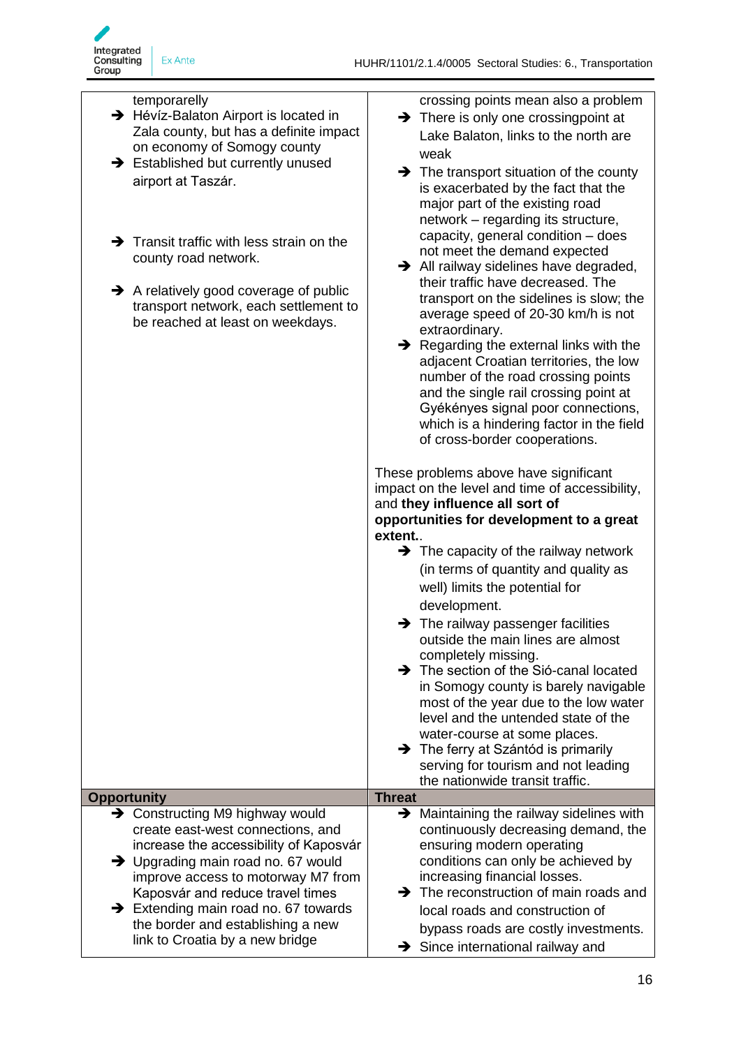

#### temporarelly

- → Hévíz-Balaton Airport is located in Zala county, but has a definite impact on economy of Somogy county
- $\rightarrow$  Established but currently unused airport at Taszár.
- $\rightarrow$  Transit traffic with less strain on the county road network.
- $\rightarrow$  A relatively good coverage of public transport network, each settlement to be reached at least on weekdays.

crossing points mean also a problem

- $\rightarrow$  There is only one crossingpoint at Lake Balaton, links to the north are weak
- $\rightarrow$  The transport situation of the county is exacerbated by the fact that the major part of the existing road network – regarding its structure, capacity, general condition – does not meet the demand expected
- $\rightarrow$  All railway sidelines have degraded, their traffic have decreased. The transport on the sidelines is slow; the average speed of 20-30 km/h is not extraordinary.
- $\rightarrow$  Regarding the external links with the adjacent Croatian territories, the low number of the road crossing points and the single rail crossing point at Gyékényes signal poor connections, which is a hindering factor in the field of cross-border cooperations.

These problems above have significant impact on the level and time of accessibility, and **they influence all sort of opportunities for development to a great extent.**.

- $\rightarrow$  The capacity of the railway network (in terms of quantity and quality as well) limits the potential for development.
- $\rightarrow$  The railway passenger facilities outside the main lines are almost completely missing.
- $\rightarrow$  The section of the Sió-canal located in Somogy county is barely navigable most of the year due to the low water level and the untended state of the water-course at some places.
	- $\rightarrow$  The ferry at Szántód is primarily serving for tourism and not leading the nationwide transit traffic.
- **Opportunity Threat →** Constructing M9 highway would create east-west connections, and increase the accessibility of Kaposvár → Upgrading main road no. 67 would improve access to motorway M7 from Kaposvár and reduce travel times  $\rightarrow$  Extending main road no. 67 towards the border and establishing a new link to Croatia by a new bridge  $\rightarrow$  Maintaining the railway sidelines with continuously decreasing demand, the ensuring modern operating conditions can only be achieved by increasing financial losses.  $\rightarrow$  The reconstruction of main roads and local roads and construction of bypass roads are costly investments.  $\rightarrow$  Since international railway and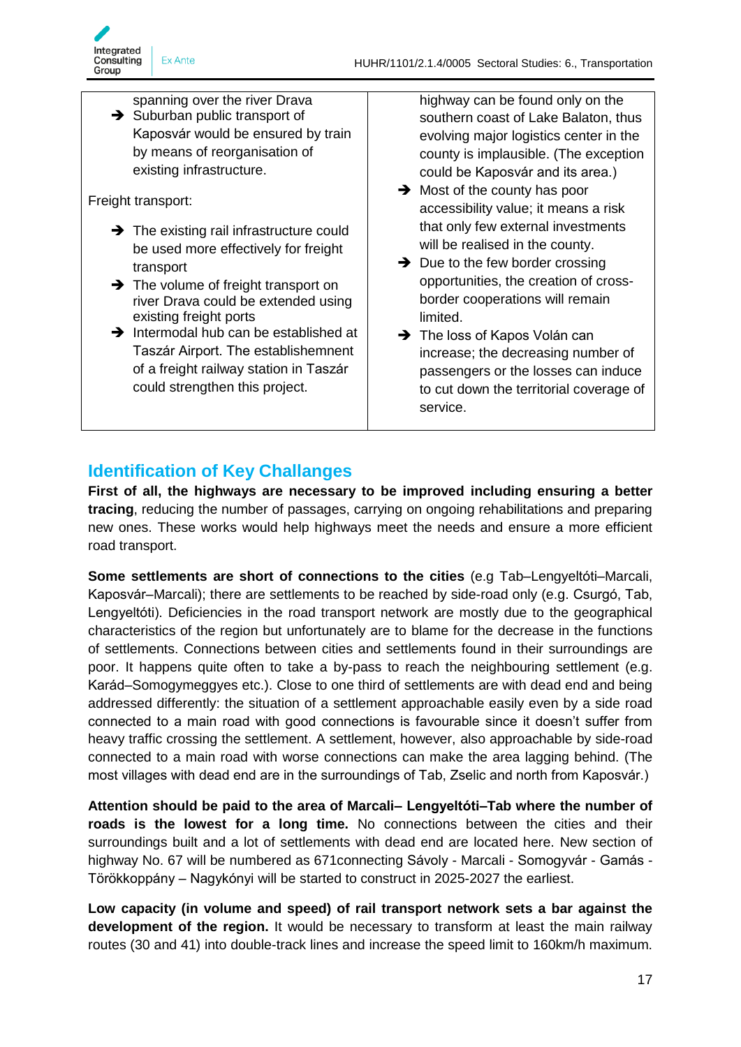spanning over the river Drava  $\rightarrow$  Suburban public transport of Kaposvár would be ensured by train by means of reorganisation of existing infrastructure.

Freight transport:

- $\rightarrow$  The existing rail infrastructure could be used more effectively for freight transport
- $\rightarrow$  The volume of freight transport on river Drava could be extended using existing freight ports
- $\rightarrow$  Intermodal hub can be established at Taszár Airport. The establishemnent of a freight railway station in Taszár could strengthen this project.

highway can be found only on the southern coast of Lake Balaton, thus evolving major logistics center in the county is implausible. (The exception could be Kaposvár and its area.)

- $\rightarrow$  Most of the county has poor accessibility value; it means a risk that only few external investments will be realised in the county.
- $\rightarrow$  Due to the few border crossing opportunities, the creation of crossborder cooperations will remain limited.
- → The loss of Kapos Volán can increase; the decreasing number of passengers or the losses can induce to cut down the territorial coverage of service.

# <span id="page-16-0"></span>**Identification of Key Challanges**

**First of all, the highways are necessary to be improved including ensuring a better tracing**, reducing the number of passages, carrying on ongoing rehabilitations and preparing new ones. These works would help highways meet the needs and ensure a more efficient road transport.

**Some settlements are short of connections to the cities** (e.g Tab–Lengyeltóti–Marcali, Kaposvár–Marcali); there are settlements to be reached by side-road only (e.g. Csurgó, Tab, Lengyeltóti). Deficiencies in the road transport network are mostly due to the geographical characteristics of the region but unfortunately are to blame for the decrease in the functions of settlements. Connections between cities and settlements found in their surroundings are poor. It happens quite often to take a by-pass to reach the neighbouring settlement (e.g. Karád–Somogymeggyes etc.). Close to one third of settlements are with dead end and being addressed differently: the situation of a settlement approachable easily even by a side road connected to a main road with good connections is favourable since it doesn't suffer from heavy traffic crossing the settlement. A settlement, however, also approachable by side-road connected to a main road with worse connections can make the area lagging behind. (The most villages with dead end are in the surroundings of Tab, Zselic and north from Kaposvár.)

**Attention should be paid to the area of Marcali– Lengyeltóti–Tab where the number of roads is the lowest for a long time.** No connections between the cities and their surroundings built and a lot of settlements with dead end are located here. New section of highway No. 67 will be numbered as 671connecting Sávoly - Marcali - Somogyvár - Gamás - Törökkoppány – Nagykónyi will be started to construct in 2025-2027 the earliest.

**Low capacity (in volume and speed) of rail transport network sets a bar against the development of the region.** It would be necessary to transform at least the main railway routes (30 and 41) into double-track lines and increase the speed limit to 160km/h maximum.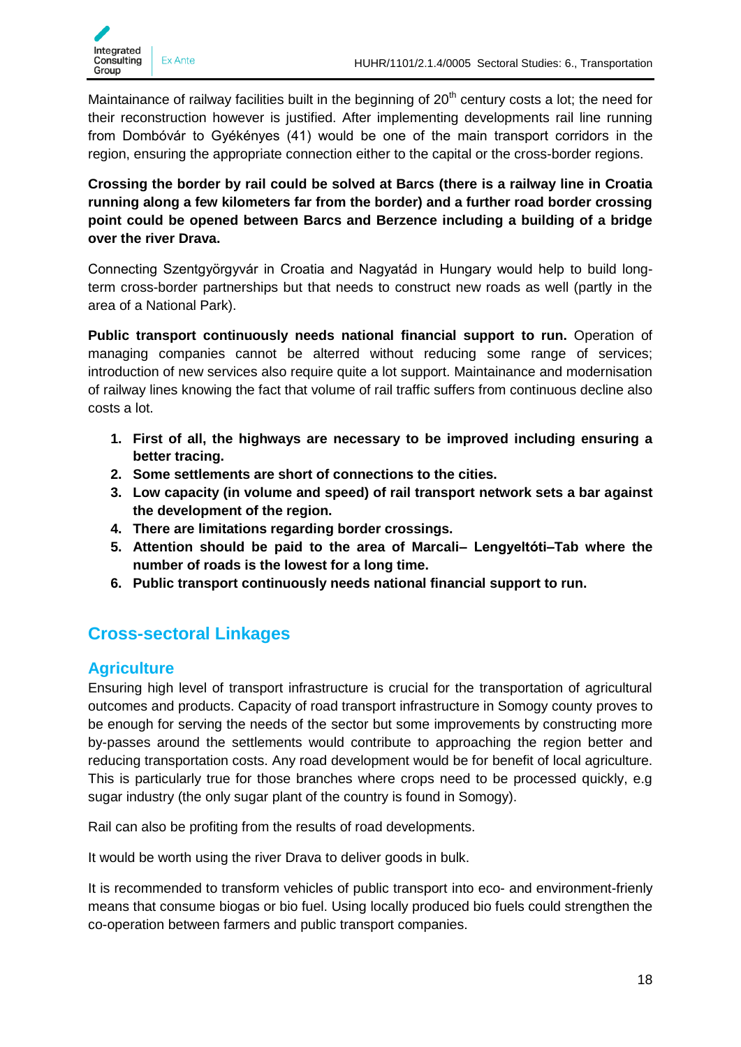Maintainance of railway facilities built in the beginning of  $20<sup>th</sup>$  century costs a lot; the need for their reconstruction however is justified. After implementing developments rail line running from Dombóvár to Gyékényes (41) would be one of the main transport corridors in the region, ensuring the appropriate connection either to the capital or the cross-border regions.

**Crossing the border by rail could be solved at Barcs (there is a railway line in Croatia running along a few kilometers far from the border) and a further road border crossing point could be opened between Barcs and Berzence including a building of a bridge over the river Drava.**

Connecting Szentgyörgyvár in Croatia and Nagyatád in Hungary would help to build longterm cross-border partnerships but that needs to construct new roads as well (partly in the area of a National Park).

**Public transport continuously needs national financial support to run.** Operation of managing companies cannot be alterred without reducing some range of services; introduction of new services also require quite a lot support. Maintainance and modernisation of railway lines knowing the fact that volume of rail traffic suffers from continuous decline also costs a lot.

- **1. First of all, the highways are necessary to be improved including ensuring a better tracing.**
- **2. Some settlements are short of connections to the cities.**
- **3. Low capacity (in volume and speed) of rail transport network sets a bar against the development of the region.**
- **4. There are limitations regarding border crossings.**
- **5. Attention should be paid to the area of Marcali– Lengyeltóti–Tab where the number of roads is the lowest for a long time.**
- **6. Public transport continuously needs national financial support to run.**

# <span id="page-17-0"></span>**Cross-sectoral Linkages**

# <span id="page-17-1"></span>**Agriculture**

Ensuring high level of transport infrastructure is crucial for the transportation of agricultural outcomes and products. Capacity of road transport infrastructure in Somogy county proves to be enough for serving the needs of the sector but some improvements by constructing more by-passes around the settlements would contribute to approaching the region better and reducing transportation costs. Any road development would be for benefit of local agriculture. This is particularly true for those branches where crops need to be processed quickly, e.g sugar industry (the only sugar plant of the country is found in Somogy).

Rail can also be profiting from the results of road developments.

It would be worth using the river Drava to deliver goods in bulk.

It is recommended to transform vehicles of public transport into eco- and environment-frienly means that consume biogas or bio fuel. Using locally produced bio fuels could strengthen the co-operation between farmers and public transport companies.